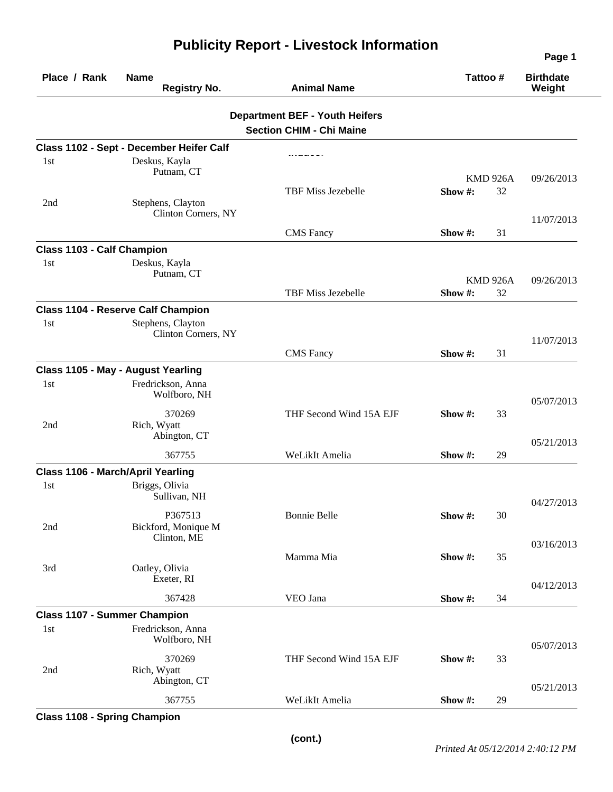| Place / Rank                        | <b>Name</b><br><b>Registry No.</b>            | <b>Animal Name</b>                                                       | Tattoo #        |    | <b>Birthdate</b><br>Weight |
|-------------------------------------|-----------------------------------------------|--------------------------------------------------------------------------|-----------------|----|----------------------------|
|                                     |                                               | <b>Department BEF - Youth Heifers</b><br><b>Section CHIM - Chi Maine</b> |                 |    |                            |
|                                     | Class 1102 - Sept - December Heifer Calf      |                                                                          |                 |    |                            |
| 1st                                 | Deskus, Kayla<br>Putnam, CT                   |                                                                          | <b>KMD 926A</b> |    | 09/26/2013                 |
| 2nd                                 | Stephens, Clayton<br>Clinton Corners, NY      | TBF Miss Jezebelle                                                       | Show#:          | 32 |                            |
|                                     |                                               | <b>CMS</b> Fancy                                                         | Show #:         | 31 | 11/07/2013                 |
| Class 1103 - Calf Champion          |                                               |                                                                          |                 |    |                            |
| 1st                                 | Deskus, Kayla<br>Putnam, CT                   |                                                                          | <b>KMD 926A</b> |    | 09/26/2013                 |
|                                     |                                               | TBF Miss Jezebelle                                                       | Show #:         | 32 |                            |
|                                     | <b>Class 1104 - Reserve Calf Champion</b>     |                                                                          |                 |    |                            |
| 1st                                 | Stephens, Clayton<br>Clinton Corners, NY      |                                                                          |                 |    | 11/07/2013                 |
|                                     |                                               | <b>CMS</b> Fancy                                                         | Show #:         | 31 |                            |
|                                     | Class 1105 - May - August Yearling            |                                                                          |                 |    |                            |
| 1st                                 | Fredrickson, Anna<br>Wolfboro, NH             |                                                                          |                 |    | 05/07/2013                 |
| 2nd                                 | 370269<br>Rich, Wyatt<br>Abington, CT         | THF Second Wind 15A EJF                                                  | Show #:         | 33 |                            |
|                                     | 367755                                        |                                                                          |                 |    | 05/21/2013                 |
|                                     | Class 1106 - March/April Yearling             | WeLikIt Amelia                                                           | Show #:         | 29 |                            |
| 1st                                 | Briggs, Olivia<br>Sullivan, NH                |                                                                          |                 |    |                            |
| 2nd                                 | P367513<br>Bickford, Monique M<br>Clinton, ME | <b>Bonnie Belle</b>                                                      | Show#:          | 30 | 04/27/2013                 |
| 3rd                                 | Oatley, Olivia                                | Mamma Mia                                                                | Show#:          | 35 | 03/16/2013                 |
|                                     | Exeter, RI                                    |                                                                          |                 |    | 04/12/2013                 |
|                                     | 367428                                        | VEO Jana                                                                 | Show #:         | 34 |                            |
| <b>Class 1107 - Summer Champion</b> |                                               |                                                                          |                 |    |                            |
| 1st                                 | Fredrickson, Anna<br>Wolfboro, NH             |                                                                          |                 |    | 05/07/2013                 |
| 2nd                                 | 370269<br>Rich, Wyatt<br>Abington, CT         | THF Second Wind 15A EJF                                                  | Show #:         | 33 |                            |
|                                     | 367755                                        | WeLikIt Amelia                                                           | Show #:         | 29 | 05/21/2013                 |

## **Publicity Report - Livestock Information**

**Class 1108 - Spring Champion** 

**Page 1**